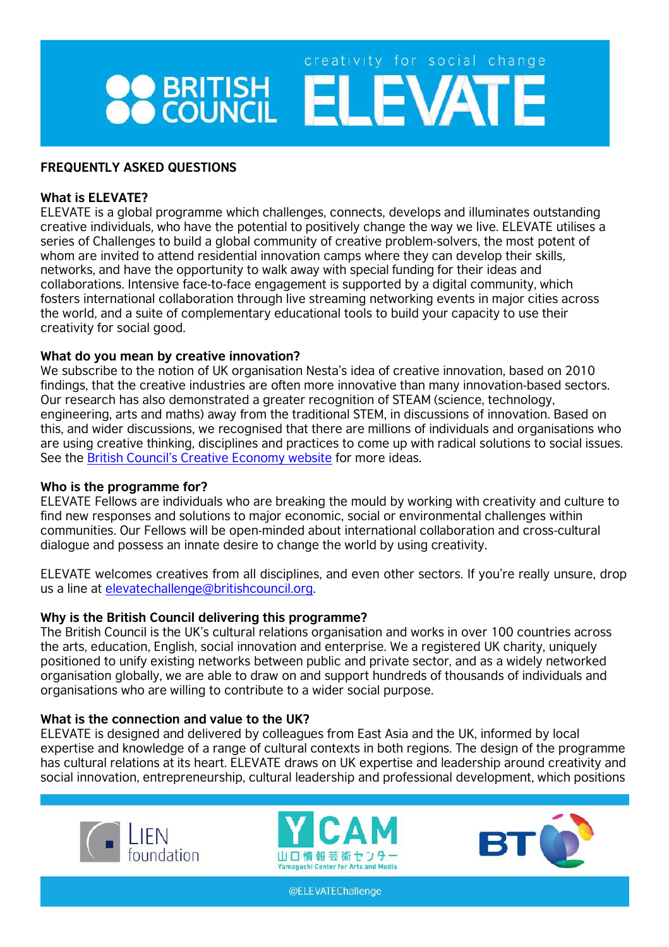# creativity for social change **PO BRITISH ELEVATE**

## **FREQUENTLY ASKED QUESTIONS**

## **What is ELEVATE?**

ELEVATE is a global programme which challenges, connects, develops and illuminates outstanding creative individuals, who have the potential to positively change the way we live. ELEVATE utilises a series of Challenges to build a global community of creative problem-solvers, the most potent of whom are invited to attend residential innovation camps where they can develop their skills, networks, and have the opportunity to walk away with special funding for their ideas and collaborations. Intensive face-to-face engagement is supported by a digital community, which fosters international collaboration through live streaming networking events in major cities across the world, and a suite of complementary educational tools to build your capacity to use their creativity for social good.

## **What do you mean by creative innovation?**

We subscribe to the notion of UK organisation Nesta's idea of creative innovation, based on 2010 findings, that the creative industries are often more innovative than many innovation-based sectors. Our research has also demonstrated a greater recognition of STEAM (science, technology, engineering, arts and maths) away from the traditional STEM, in discussions of innovation. Based on this, and wider discussions, we recognised that there are millions of individuals and organisations who are using creative thinking, disciplines and practices to come up with radical solutions to social issues. See the British Council's [Creative Economy website f](http://creativeconomy.britishcouncil.org/)or more ideas.

#### **Who is the programme for?**

ELEVATE Fellows are individuals who are breaking the mould by working with creativity and culture to find new responses and solutions to major economic, social or environmental challenges within communities. Our Fellows will be open-minded about international collaboration and cross-cultural dialogue and possess an innate desire to change the world by using creativity.

ELEVATE welcomes creatives from all disciplines, and even other sectors. If you're really unsure, drop us a line at [elevatechallenge@britishcouncil.org.](mailto:elevatechallenge@britishcouncil.org)

## **Why is the British Council delivering this programme?**

The British Council is the UK's cultural relations organisation and works in over 100 countries across the arts, education, English, social innovation and enterprise. We a registered UK charity, uniquely positioned to unify existing networks between public and private sector, and as a widely networked organisation globally, we are able to draw on and support hundreds of thousands of individuals and organisations who are willing to contribute to a wider social purpose.

## **What is the connection and value to the UK?**

ELEVATE is designed and delivered by colleagues from East Asia and the UK, informed by local expertise and knowledge of a range of cultural contexts in both regions. The design of the programme has cultural relations at its heart. ELEVATE draws on UK expertise and leadership around creativity and social innovation, entrepreneurship, cultural leadership and professional development, which positions





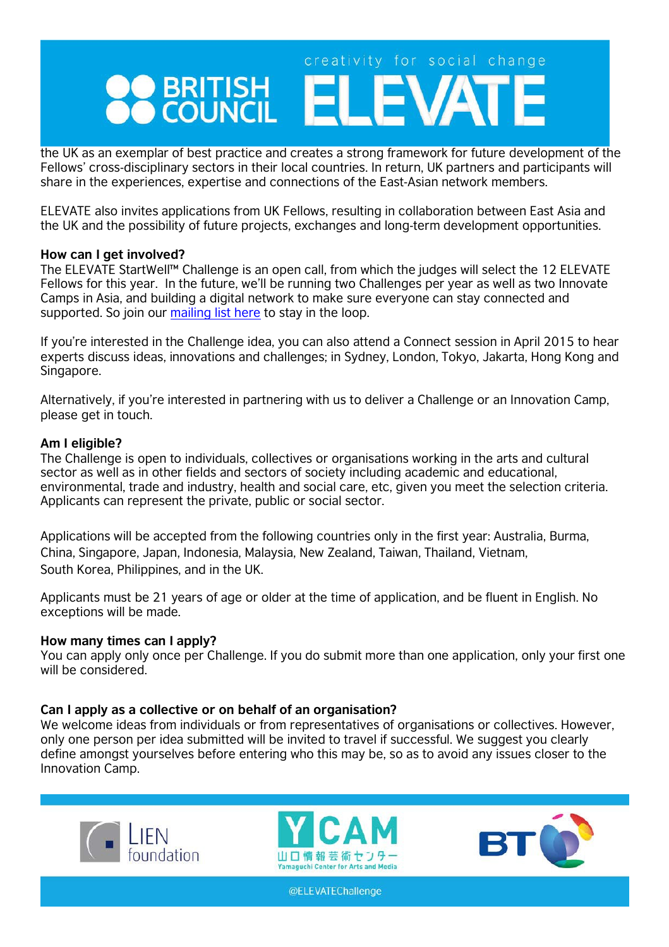## creativity for social change BRITISH EL

the UK as an exemplar of best practice and creates a strong framework for future development of the Fellows' cross-disciplinary sectors in their local countries. In return, UK partners and participants will share in the experiences, expertise and connections of the East-Asian network members.

ELEVATE also invites applications from UK Fellows, resulting in collaboration between East Asia and the UK and the possibility of future projects, exchanges and long-term development opportunities.

#### **How can I get involved?**

The ELEVATE StartWell™ Challenge is an open call, from which the judges will select the 12 ELEVATE Fellows for this year. In the future, we'll be running two Challenges per year as well as two Innovate Camps in Asia, and building a digital network to make sure everyone can stay connected and supported. So join our [mailing list here](https://confirmsubscription.com/h/y/527AEAD4E6A6109F) to stay in the loop.

If you're interested in the Challenge idea, you can also attend a Connect session in April 2015 to hear experts discuss ideas, innovations and challenges; in Sydney, London, Tokyo, Jakarta, Hong Kong and Singapore.

Alternatively, if you're interested in partnering with us to deliver a Challenge or an Innovation Camp, please get in touch.

## **Am I eligible?**

The Challenge is open to individuals, collectives or organisations working in the arts and cultural sector as well as in other fields and sectors of society including academic and educational, environmental, trade and industry, health and social care, etc, given you meet the selection criteria. Applicants can represent the private, public or social sector.

Applications will be accepted from the following countries only in the first year: Australia, Burma, China, Singapore, Japan, Indonesia, Malaysia, New Zealand, Taiwan, Thailand, Vietnam, South Korea, Philippines, and in the UK.

Applicants must be 21 years of age or older at the time of application, and be fluent in English. No exceptions will be made.

#### **How many times can I apply?**

You can apply only once per Challenge. If you do submit more than one application, only your first one will be considered

#### **Can I apply as a collective or on behalf of an organisation?**

We welcome ideas from individuals or from representatives of organisations or collectives. However, only one person per idea submitted will be invited to travel if successful. We suggest you clearly define amongst yourselves before entering who this may be, so as to avoid any issues closer to the Innovation Camp.





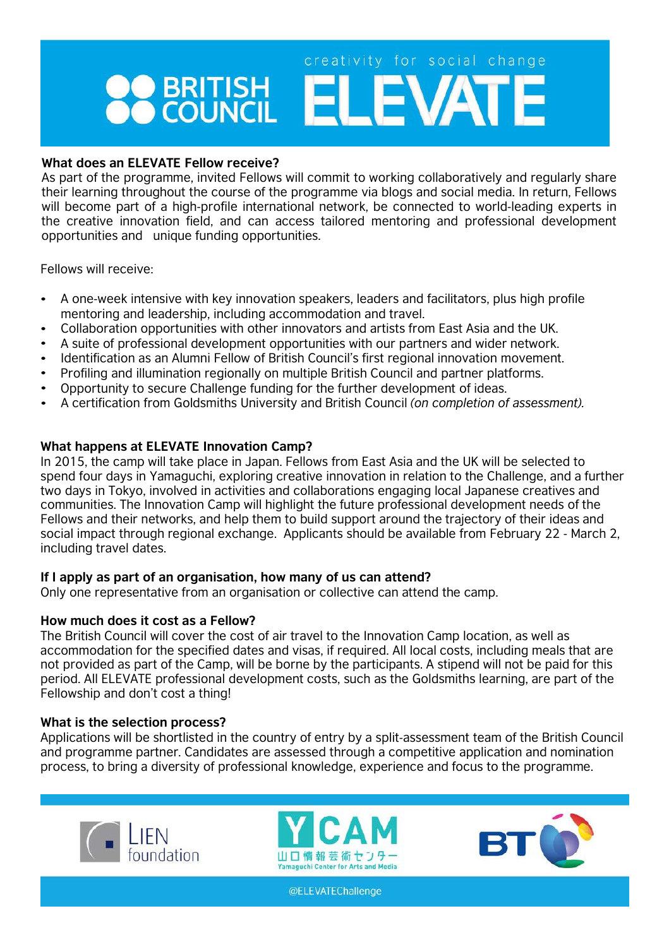# creativity for social change **O BRITISH ELEVAT**

## **What does an ELEVATE Fellow receive?**

As part of the programme, invited Fellows will commit to working collaboratively and regularly share their learning throughout the course of the programme via blogs and social media. In return, Fellows will become part of a high-profile international network, be connected to world-leading experts in the creative innovation field, and can access tailored mentoring and professional development opportunities and unique funding opportunities.

Fellows will receive:

- A one-week intensive with key innovation speakers, leaders and facilitators, plus high profile mentoring and leadership, including accommodation and travel.
- Collaboration opportunities with other innovators and artists from East Asia and the UK. •
- A suite of professional development opportunities with our partners and wider network. •
- Identification as an Alumni Fellow of British Council's first regional innovation movement. •
- Profiling and illumination regionally on multiple British Council and partner platforms. •
- Opportunity to secure Challenge funding for the further development of ideas. •
- A certification from Goldsmiths University and British Council *(on completion of assessment).* •

## **What happens at ELEVATE Innovation Camp?**

In 2015, the camp will take place in Japan. Fellows from East Asia and the UK will be selected to spend four days in Yamaguchi, exploring creative innovation in relation to the Challenge, and a further two days in Tokyo, involved in activities and collaborations engaging local Japanese creatives and communities. The Innovation Camp will highlight the future professional development needs of the Fellows and their networks, and help them to build support around the trajectory of their ideas and social impact through regional exchange. Applicants should be available from February 22 - March 2, including travel dates.

#### **If I apply as part of an organisation, how many of us can attend?**

Only one representative from an organisation or collective can attend the camp.

## **How much does it cost as a Fellow?**

The British Council will cover the cost of air travel to the Innovation Camp location, as well as accommodation for the specified dates and visas, if required. All local costs, including meals that are not provided as part of the Camp, will be borne by the participants. A stipend will not be paid for this period. All ELEVATE professional development costs, such as the Goldsmiths learning, are part of the Fellowship and don't cost a thing!

## **What is the selection process?**

Applications will be shortlisted in the country of entry by a split-assessment team of the British Council and programme partner. Candidates are assessed through a competitive application and nomination process, to bring a diversity of professional knowledge, experience and focus to the programme.





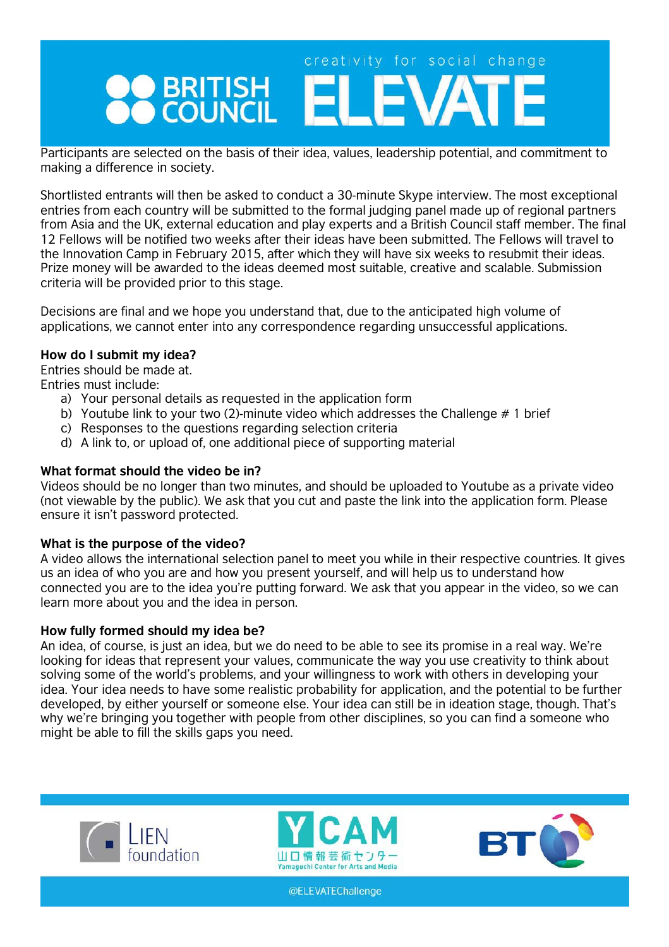## creativity for social change BRITISH EL

Participants are selected on the basis of their idea, values, leadership potential, and commitment to making a difference in society.

Shortlisted entrants will then be asked to conduct a 30-minute Skype interview. The most exceptional entries from each country will be submitted to the formal judging panel made up of regional partners from Asia and the UK, external education and play experts and a British Council staff member. The final 12 Fellows will be notified two weeks after their ideas have been submitted. The Fellows will travel to the Innovation Camp in February 2015, after which they will have six weeks to resubmit their ideas. Prize money will be awarded to the ideas deemed most suitable, creative and scalable. Submission criteria will be provided prior to this stage.

Decisions are final and we hope you understand that, due to the anticipated high volume of applications, we cannot enter into any correspondence regarding unsuccessful applications.

## **How do I submit my idea?**

Entries should be made at.

Entries must include:

- a) Your personal details as requested in the application form
- b) Youtube link to your two (2)-minute video which addresses the Challenge # 1 brief
- c) Responses to the questions regarding selection criteria
- d) A link to, or upload of, one additional piece of supporting material

## **What format should the video be in?**

Videos should be no longer than two minutes, and should be uploaded to Youtube as a private video (not viewable by the public). We ask that you cut and paste the link into the application form. Please ensure it isn't password protected.

#### **What is the purpose of the video?**

A video allows the international selection panel to meet you while in their respective countries. It gives us an idea of who you are and how you present yourself, and will help us to understand how connected you are to the idea you're putting forward. We ask that you appear in the video, so we can learn more about you and the idea in person.

#### **How fully formed should my idea be?**

An idea, of course, is just an idea, but we do need to be able to see its promise in a real way. We're looking for ideas that represent your values, communicate the way you use creativity to think about solving some of the world's problems, and your willingness to work with others in developing your idea. Your idea needs to have some realistic probability for application, and the potential to be further developed, by either yourself or someone else. Your idea can still be in ideation stage, though. That's why we're bringing you together with people from other disciplines, so you can find a someone who might be able to fill the skills gaps you need.